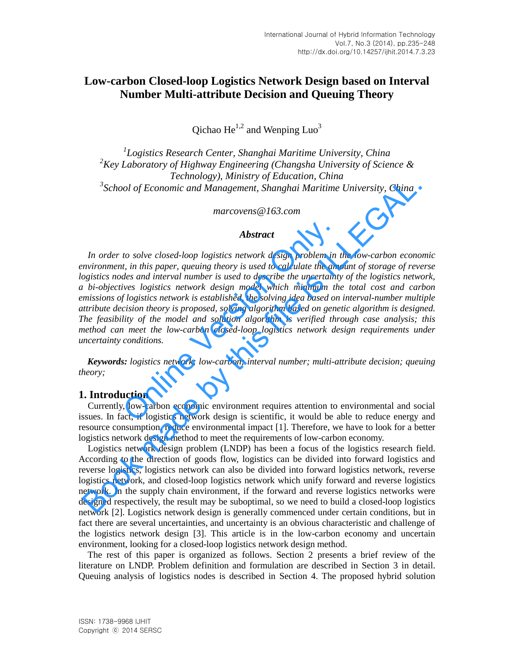# **Low-carbon Closed-loop Logistics Network Design based on Interval Number Multi-attribute Decision and Queuing Theory**

Qichao  $He^{1,2}$  and Wenping Luo<sup>3</sup>

 *Logistics Research Center, Shanghai Maritime University, China Key Laboratory of Highway Engineering (Changsha University of Science & Technology), Ministry of Education, China School of Economic and Management, Shanghai Maritime University, China* 

*marcovens@163.com* 

#### *Abstract*

*In order to solve closed-loop logistics network design problem in the low-carbon economic environment, in this paper, queuing theory is used to calculate the amount of storage of reverse logistics nodes and interval number is used to describe the uncertainty of the logistics network, a bi-objectives logistics network design model which minimum the total cost and carbon emissions of logistics network is established, the solving idea based on interval-number multiple attribute decision theory is proposed, solving algorithm based on genetic algorithm is designed. The feasibility of the model and solution algorithm is verified through case analysis; this method can meet the low-carbon closed-loop logistics network design requirements under uncertainty conditions.*  **Abstract**<br>
to solve closed-loop logistics network design problem in<br>
t, in this paper, queuing theory is used to calculate the americant<br>
des and interval number is used to describe the uncertaint<br>
ives logistics network <sup>3</sup>School of Economic and Management, Shamshai Maritime University, China<br> **Abstract**<br> **Abstract**<br> **Abstract**<br> *In order to solve closed-loop logistics nework design problem in the low-carbon economy<br>
marcovens (* $\theta$ *) is* 

*Keywords: logistics network; low-carbon; interval number; multi-attribute decision; queuing theory;* 

### **1. Introduction**

Currently, low-carbon economic environment requires attention to environmental and social issues. In fact, if logistics network design is scientific, it would be able to reduce energy and resource consumption, reduce environmental impact [1]. Therefore, we have to look for a better logistics network design method to meet the requirements of low-carbon economy.

Logistics network design problem (LNDP) has been a focus of the logistics research field. According to the direction of goods flow, logistics can be divided into forward logistics and reverse logistics, logistics network can also be divided into forward logistics network, reverse logistics network, and closed-loop logistics network which unify forward and reverse logistics network. In the supply chain environment, if the forward and reverse logistics networks were designed respectively, the result may be suboptimal, so we need to build a closed-loop logistics network [2]. Logistics network design is generally commenced under certain conditions, but in fact there are several uncertainties, and uncertainty is an obvious characteristic and challenge of the logistics network design [3]. This article is in the low-carbon economy and uncertain environment, looking for a closed-loop logistics network design method.

The rest of this paper is organized as follows. Section 2 presents a brief review of the literature on LNDP. Problem definition and formulation are described in Section 3 in detail. Queuing analysis of logistics nodes is described in Section 4. The proposed hybrid solution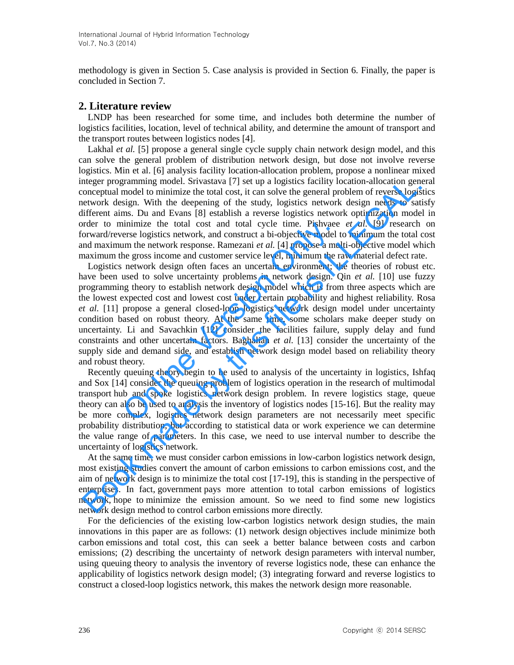methodology is given in Section 5. Case analysis is provided in Section 6. Finally, the paper is concluded in Section 7.

# **2. Literature review**

LNDP has been researched for some time, and includes both determine the number of logistics facilities, location, level of technical ability, and determine the amount of transport and the transport routes between logistics nodes [4].

Lakhal *et al.* [5] propose a general single cycle supply chain network design model, and this can solve the general problem of distribution network design, but dose not involve reverse logistics. Min et al. [6] analysis facility location-allocation problem, propose a nonlinear mixed integer programming model. Srivastava [7] set up a logistics facility location-allocation general conceptual model to minimize the total cost, it can solve the general problem of reverse logistics network design. With the deepening of the study, logistics network design needs to satisfy different aims. Du and Evans [8] establish a reverse logistics network optimization model in order to minimize the total cost and total cycle time. Pishvaee *et al.* [9] research on forward/reverse logistics network, and construct a bi-objective model to minimum the total cost and maximum the network response. Ramezani *et al.* [4] propose a multi-objective model which maximum the gross income and customer service level, minimum the raw material defect rate.

Logistics network design often faces an uncertain environment; the theories of robust etc. have been used to solve uncertainty problems in network design. Qin *et al.* [10] use fuzzy programming theory to establish network design model which is from three aspects which are the lowest expected cost and lowest cost under certain probability and highest reliability. Rosa *et al.* [11] propose a general closed-loop logistics network design model under uncertainty condition based on robust theory. At the same time, some scholars make deeper study on uncertainty. Li and Savachkin [12] consider the facilities failure, supply delay and fund constraints and other uncertain factors. Baghalian *et al.* [13] consider the uncertainty of the supply side and demand side, and establish network design model based on reliability theory and robust theory. unimize the total cost and total cycle time. Pishvaes<br>erse logistics network, and construct a bi-objective model im the network response. Ramezani *et al.* [4] propose a mu<br>he gross income and customer service level, mini mtger programming model. Sivassaas [7], set us a logistics facility location achostop encompetual model to minimize the total cost, it can solve the general problem of reverse logis<br>tetwork design. With the deepening of th

Recently queuing theory begin to be used to analysis of the uncertainty in logistics, Ishfaq and Sox [14] consider the queuing problem of logistics operation in the research of multimodal transport hub and spoke logistics network design problem. In revere logistics stage, queue theory can also be used to analysis the inventory of logistics nodes [15-16]. But the reality may be more complex, logistics network design parameters are not necessarily meet specific probability distribution, but according to statistical data or work experience we can determine the value range of parameters. In this case, we need to use interval number to describe the uncertainty of logistics network.

At the same time, we must consider carbon emissions in low-carbon logistics network design, most existing studies convert the amount of carbon emissions to carbon emissions cost, and the aim of network design is to minimize the total cost [17-19], this is standing in the perspective of enterprises. In fact, government pays more attention to total carbon emissions of logistics network, hope to minimize the emission amount. So we need to find some new logistics network design method to control carbon emissions more directly.

For the deficiencies of the existing low-carbon logistics network design studies, the main innovations in this paper are as follows: (1) network design objectives include minimize both carbon emissions and total cost, this can seek a better balance between costs and carbon emissions; (2) describing the uncertainty of network design parameters with interval number, using queuing theory to analysis the inventory of reverse logistics node, these can enhance the applicability of logistics network design model; (3) integrating forward and reverse logistics to construct a closed-loop logistics network, this makes the network design more reasonable.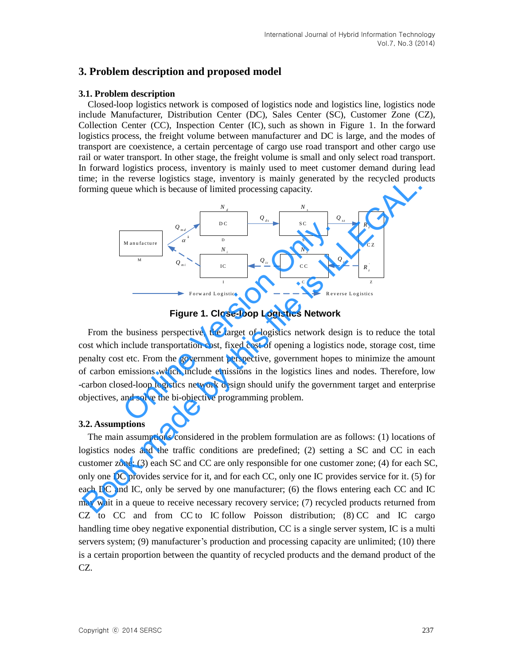# **3. Problem description and proposed model**

### **3.1. Problem description**

 Closed-loop logistics network is composed of logistics node and logistics line, logistics node include Manufacturer, Distribution Center (DC), Sales Center (SC), Customer Zone (CZ), Collection Center (CC), Inspection Center (IC), such as shown in Figure 1. In the forward logistics process, the freight volume between manufacturer and DC is large, and the modes of transport are coexistence, a certain percentage of cargo use road transport and other cargo use rail or water transport. In other stage, the freight volume is small and only select road transport. In forward logistics process, inventory is mainly used to meet customer demand during lead time; in the reverse logistics stage, inventory is mainly generated by the recycled products forming queue which is because of limited processing capacity.



**Figure 1. Close-loop Logistics Network**

From the business perspective, the target of logistics network design is to reduce the total cost which include transportation cost, fixed cost of opening a logistics node, storage cost, time penalty cost etc. From the government perspective, government hopes to minimize the amount of carbon emissions which include emissions in the logistics lines and nodes. Therefore, low -carbon closed-loop logistics network design should unify the government target and enterprise objectives, and solve the bi-objective programming problem.

### **3.2. Assumptions**

 The main assumptions considered in the problem formulation are as follows: (1) locations of logistics nodes and the traffic conditions are predefined; (2) setting a SC and CC in each customer zone; (3) each SC and CC are only responsible for one customer zone; (4) for each SC, only one DC provides service for it, and for each CC, only one IC provides service for it. (5) for each DC and IC, only be served by one manufacturer; (6) the flows entering each CC and IC may wait in a queue to receive necessary recovery service; (7) recycled products returned from CZ to CC and from CC to IC follow Poisson distribution; (8) CC and IC cargo handling time obey negative exponential distribution, CC is a single server system, IC is a multi servers system; (9) manufacturer's production and processing capacity are unlimited; (10) there is a certain proportion between the quantity of recycled products and the demand product of the CZ.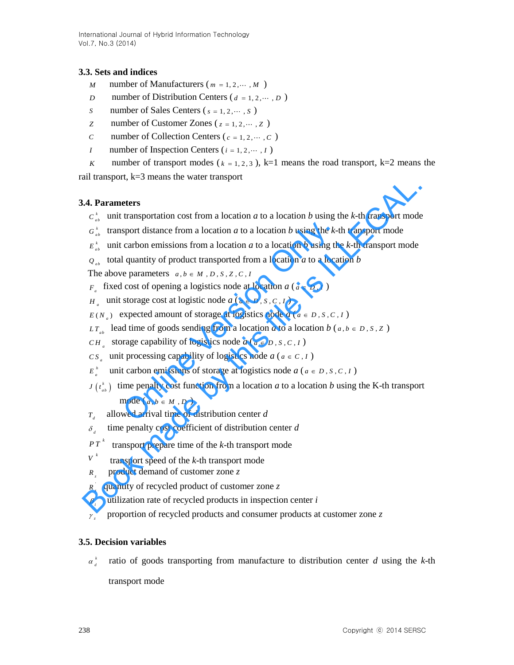International Journal of Hybrid Information Technology Vol.7, No.3 (2014)

### **3.3. Sets and indices**

- *M* number of Manufacturers ( $m = 1, 2, \cdots, M$ )
- *D* number of Distribution Centers ( $d = 1, 2, \dots, D$ )
- *S* number of Sales Centers ( $s = 1, 2, \dots, S$ )
- *z* number of Customer Zones ( $z = 1, 2, \dots, z$ )
- *C* number of Collection Centers ( $c = 1, 2, \dots, C$ )
	- *I* number of Inspection Centers ( $i = 1, 2, \dots, I$ )
- *K* number of transport modes ( $k = 1, 2, 3$ ), k=1 means the road transport, k=2 means the

rail transport, k=3 means the water transport

### **3.4. Parameters**

- $c_{ab}^k$  unit transportation cost from a location *a* to a location *b* using the *k*-th transport mode
- $G_{ab}^{k}$  transport distance from a location *a* to a location *b* using the *k*-th transport mode
- $E_{ab}^{k}$  unit carbon emissions from a location *a* to a location *b* using the *k*-th transport mode
- $Q_{ab}$  total quantity of product transported from a location *a* to a location *b*

The above parameters  $a, b \in M$ ,  $D$ ,  $S$ ,  $Z$ ,  $C$ ,  $I$ 

- *F*<sub>*a*</sub> fixed cost of opening a logistics node at location *a* ( $a \in D, I$ )
- $H_a$  unit storage cost at logistic node  $a$  ( $a \in D$ ,  $S$ ,  $C$ ,  $I$ )
- $E(N_a)$  expected amount of storage at logistics node  $a (a \in D, S, C, I)$
- *LT*<sub>*ab*</sub> lead time of goods sending from a location *a* to a location *b* (*a*, *b*  $\in$  *D*, *S*, *Z* )
- *CH*<sup>2</sup> storage capability of logistics node  $a$  ( $a \in D$ , *S*, *C*, *I*)
- $CS_a$  unit processing capability of logistics node *a* (*a*  $\in$  *C*, *I*)
- $E_a^h$  unit carbon emissions of storage at logistics node *a* ( $a \in D, S, C, I$ ) sport distance from a location *a* to a location *b* using the *k*-t<br>carbon emissions from a location *a* to a location *b* using th<br>l quantity of product transported from a location *a* to a loca<br>e parameters  $a, b \in M, D, S$
- $J(t_{ab}^k)$  time penalty cost function from a location *a* to a location *b* using the K-th transport **Example 14** and the matrix of the matrix diameter of the k-th transport mode  $G_{\mu}^{\perp}$  unit transport distance from a location *a* to a location *b* using the *k*-th transport mode  $G_{\mu}^{\perp}$  unit carbon emissions f

mode  $(a, b \in M, D)$ 

- $T_{\mu}$ *T* allowed arrival time of distribution center *d*
- $\delta$ , time penalty cost coefficient of distribution center *d*
- *k PT* transport prepare time of the *k*-th transport mode
- *k V* transport speed of the *k*-th transport mode
- *z R* product demand of customer zone *z*
- ' *z R* quantity of recycled product of customer zone *z*
- $\beta$ . utilization rate of recycled products in inspection center *i*
- *z* proportion of recycled products and consumer products at customer zone *z*

### **3.5. Decision variables**

 $\alpha_d^k$ ratio of goods transporting from manufacture to distribution center *d* using the *k*-th

transport mode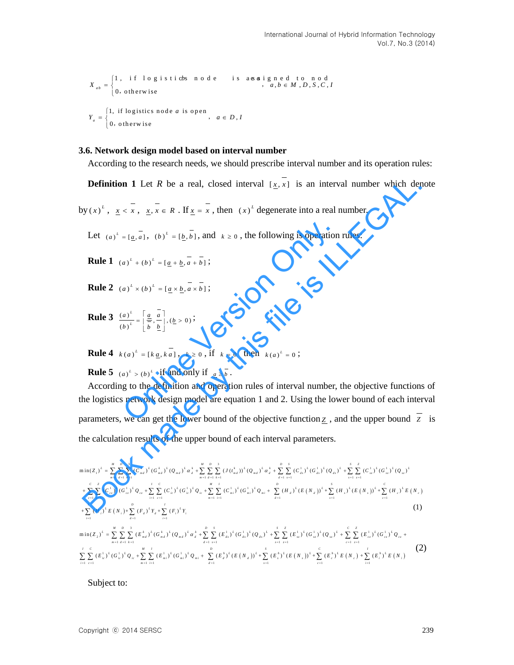1, if logistic s node is assigned to nod<br>  $a, b \in M, D, S, C$ ,<br>
0. otherwise  $_{ab} = \begin{cases} 1, & \text{if } 1 \text{ o g} \\ 0, & \text{otherwise} \end{cases}$  $X_{ab} = \begin{cases} 1, & \text{if } \log \text{ is tives node} \\ 0, & \text{otherwise} \end{cases}$ , *a*, *b*  $\in M$ , *D*, *S*, *C*, *l* Ţ  $=\begin{cases} 1, & \text{if } 1 \text{ of } j \text{ is the } n \text{ of } j \text{ is the } j \text{ is the } j \text{ is the } j \text{ is the } j \text{ is the } j \text{ is the } j \text{ is the } j \text{ is the } j \text{ is the } j \text{ is the } j \text{ is the } j \text{ is the } j \text{ is the } j \text{ is the } j \text{ is the } j \text{ is the } j \text{ is the } j \text{ is the } j \text{ is the } j \text{ is the } j \text{ is the } j \text{ is the } j \text{ is the } j \text{ is the } j \text{ is the } j \text{ is the } j \text{$ , ,  $Y_a = \begin{cases} 1, & \text{if logistics node } a \text{ is open} \\ 0, & \text{otherwise} \end{cases}$ ,  $a \in D, D$ , otherwise,

#### **3.6. Network design model based on interval number**

According to the research needs, we should prescribe interval number and its operation rules:

**Definition 1** Let *R* be a real, closed interval  $[x, x]$  is an interval number which denote

by  $(x)^L$ ,  $x < x$ ,  $x, x \in R$ . If  $x = x$ , then  $(x)^L$  degenerate into a real number.

Let  $(a)^k = [a, a]$ ,  $(b)^k = [b, b]$ , and  $k \ge 0$ , the following is operation rules:

**Rule 1**  $(a)^{L} + (b)^{L} = [a + b, a + b]$ ;

- **Rule 2**  $(a)^{L} \times (b)^{L} = \left[a \times \overline{b}, a \times \overline{b}\right]$ ;
- **Rule 3**  $\frac{(a)^L}{(b)^L} = \left[\frac{a}{\frac{b}{}}}, \frac{a}{\frac{b}{}}\right], (\frac{b}{c} > 0)$ *L L*  $\left(\frac{a}{b}\right)^{\frac{L}{L}} = \left[\frac{a}{\frac{b}{b}}, \frac{a}{\frac{b}{b}}\right], \left(\frac{b}{b}\right)$  $=\left[\frac{a}{\frac{a}{b}},\frac{a}{c}\right], (\underline{b}>0)$  $\begin{bmatrix} b & \underline{b} \end{bmatrix}$ ;

**Rule 4**  $k(a)^{L} = [k \underline{a}, k \underline{a}], k \ge 0$ , if  $k = 0$  then  $k(a)^{L} = 0$ ;

**Rule 5**  $(a)^{L} > (b)^{L}$  if and only if  $\underline{a} \ge \overline{b}$ .

 According to the definition and operation rules of interval number, the objective functions of the logistics network design model are equation 1 and 2. Using the lower bound of each interval parameters, we can get the lower bound of the objective function  $\mathbf{z}$ , and the upper bound  $\mathbf{z}$  is =  $[a, \overline{a}]$ ,  $(b)^{\mu} = [b, \overline{b}]$ , and  $k \ge 0$ , the following is operation<br>  $a)^{\mu} + (b)^{\mu} = [a + b, \overline{a} + \overline{b}]$ ;<br>  $a)^{\mu} \times (b)^{\mu} = [a \times b, \overline{a} \times \overline{b}]$ ;<br>  $a^{\mu} = \left[\frac{a}{b}, \frac{\overline{a}}{b}\right], (b \ge 0)$ ;<br>  $b^{\mu} = [k \underline{a}, k \underline{a}]$ ,  $k \ge 0$ , **Definition 1** Let *R* be a real, closed interval  $[\underline{x}, x]$  is an interval number which der<br>
by  $(x)^k$ ,  $\underline{x} \in \overline{x}$ ,  $\underline{x}, \overline{x} \in R$ . If  $\underline{x} = \overline{x}$ , then  $(x)^k$  degenerate into a real number.<br>
Let  $(a)^k = [a, \overline{a}]$ ,  $(b)^k$ 

$$
\begin{array}{lll}\n\text{pinectors, we can get the lower bound of the objective function} \n\mathcal{L} & \text{and the upper bound} \\
\text{the calculation results of the upper bound of each interval parameters.} \\
\min(z_1)^L = \sum_{n=1}^N \sum_{l=1}^n (C_{n,l}^L)^L (G_{n,l}^L)^L (Q_{n,l}^L)^L (Q_{n,l}^L)^L (Q_{n,l}^L)^L (Q_{n,l}^L)^L (Q_{n,l}^L)^L (Q_{n,l}^L)^L (Q_{n,l}^L)^L (Q_{n,l}^L)^L (Q_{n,l}^L)^L (Q_{n,l}^L)^L (Q_{n,l}^L)^L (Q_{n,l}^L)^L (Q_{n,l}^L)^L (Q_{n,l}^L)^L (Q_{n,l}^L)^L (Q_{n,l}^L)^L (Q_{n,l}^L)^L (Q_{n,l}^L)^L (Q_{n,l}^L)^L (Q_{n,l}^L)^L (Q_{n,l}^L)^L (Q_{n,l}^L)^L (Q_{n,l}^L)^L (Q_{n,l}^L)^L (Q_{n,l}^L)^L (Q_{n,l}^L)^L (Q_{n,l}^L)^L (Q_{n,l}^L)^L (Q_{n,l}^L)^L (Q_{n,l}^L)^L (Q_{n,l}^L)^L (Q_{n,l}^L)^L (Q_{n,l}^L)^L (Q_{n,l}^L)^L (Q_{n,l}^L)^L (Q_{n,l}^L)^L (Q_{n,l}^L)^L (Q_{n,l}^L)^L (Q_{n,l}^L)^L (Q_{n,l}^L)^L (Q_{n,l}^L)^L (Q_{n,l}^L)^L (Q_{n,l}^L)^L (Q_{n,l}^L)^L (Q_{n,l}^L)^L (Q_{n,l}^L)^L (Q_{n,l}^L)^L (Q_{n,l}^L)^L (Q_{n,l}^L)^L (Q_{n,l}^L)^L (Q_{n,l}^L)^L (Q_{n,l}^L)^L (Q_{n,l}^L)^L (Q_{n,l}^L)^L (Q_{n,l}^L)^L (Q_{n,l}^L)^L (Q_{n,l}^L)^L (Q_{n,l}^L)^L (Q_{n,l}^L)^L (Q_{n,l}^L)^L (Q_{n,l}^L)^L (Q_{n,l}^L)^L (Q_{n,l}^L)^L (Q_{n,l}^L)^L (Q_{n,l}^L)^L (
$$

Subject to: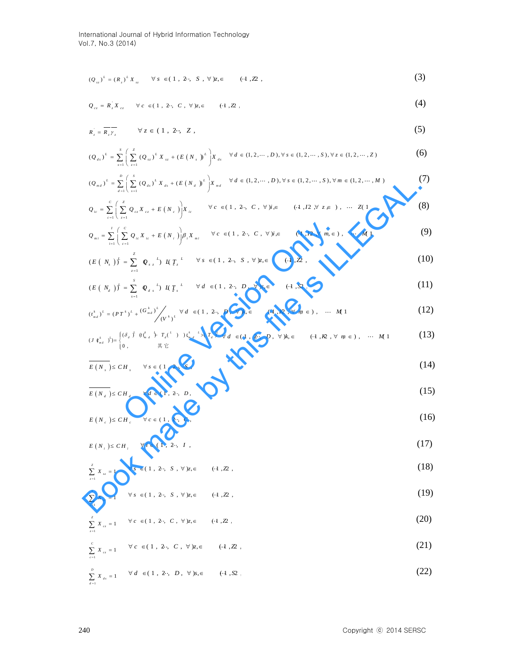$$
(Q_{_{st}})^{\perp} = (R_{_s})^{\perp} X_{_{st}} \qquad \forall \, s \, \in (1 \, , \, 2 \cdot , \, S \, , \, \forall \, ) \, z, \in (1 \, , \mathbb{Z} \, , \tag{3}
$$

$$
Q_{cz} = R_z X_{cz} \qquad \forall c \in (1, 2 \cdot, C, \forall) z, \in (1, \mathbb{Z}, \tag{4}
$$

$$
R_z = \overline{R_z \gamma_z} \qquad \forall z \in (1, 2 \cdot, Z , \tag{5}
$$

$$
(Q_{_{ds}})^{\perp} = \sum_{s=1}^{s} \left( \sum_{z=1}^{z} (Q_{_{sz}})^{\perp} X_{_{sz}} + (E(N_{_{s}})^{\perp}) X_{_{ds}} \quad \forall d \in (1, 2, \cdots, D), \forall s \in (1, 2, \cdots, S), \forall z \in (1, 2, \cdots, Z)
$$
 (6)

$$
(Q_{md})^L = \sum_{d=1}^D \left( \sum_{s=1}^S (Q_{ds})^L X_{ds} + (E(N_d))^L \right) X_{md} \quad \forall d \in (1, 2, \dots, D), \forall s \in (1, 2, \dots, S), \forall m \in (1, 2, \dots, M)
$$
 (7)

$$
(Q_{m,t})^{k} = \sum_{a=1}^{\infty} \left[ \sum_{x=1}^{\infty} (Q_{a,t})^{k} X_{a,t} + (E(N_{a}))^{k} \right] X_{md} \quad \forall d \in (1,2,\dots,D), \forall s \in (1,2,\dots,S), \forall m \in (1,2,\dots,M)
$$
(1)  
\n
$$
Q_{m} = \sum_{r=1}^{c} \left( \sum_{z=1}^{r} Q_{cz} X_{cz} + E(N_{c}) \right) X_{m} \quad \forall c \in (1, 2 \cdot, C, \forall j, \in (1, 12 \cdot, \forall \pi, \infty), \dots Z(1)
$$
(8)  
\n
$$
Q_{m,t} = \sum_{r=1}^{t} \left( \sum_{c=1}^{r} Q_{ac} X_{ac} + E(N_{t}) \right) \beta_{r} X_{m,t} \quad \forall c \in (1, 2 \cdot, C, \forall j, \in (1, 12 \cdot, \forall m, \in), \dots M)
$$
(9)  
\n
$$
(E(N_{a}))^{k} = \sum_{r=1}^{z} Q_{a,t}^{k} \beta_{t} R T_{s}^{k} \quad \forall s \in (1, 2 \cdot, S, \forall) z, \in (1, 2, \times, \dots, M)
$$
(1)  
\n
$$
(E(N_{a}))^{k} = \sum_{r=1}^{s} Q_{a,t}^{k} \beta_{t} R T_{s}^{k} \quad \forall d \in (1, 2 \cdot, D, \forall) k, \in (1, 2, \times, \dots, M)
$$
(1)  
\n
$$
(I_{m,t}^{k})^{k} = (P T^{k})^{k} + (G_{m,t}^{k})^{k} \gamma_{t} d \quad \forall d \in (1, 2 \cdot, D, \forall) k, \in (1, 2, \forall m \in), \dots M
$$
(1)  
\n
$$
(I_{m,t}^{k})^{k} = (P T^{k})^{k} + (G_{m,t}^{k})^{k} \gamma_{t} d \quad \forall t \in (1, 2, \times, D, \forall) k, \in (1, 2, \forall m \in), \dots M
$$
(1)  
\n
$$
(I_{m,t}^{k})^{k} = (I_{m,t}^{k})^{k} \beta_{t} d \quad \forall t \in (1, 2, 5, \dots
$$

$$
Q_{mi} = \sum_{i=1}^{I} \left( \sum_{c=1}^{C} Q_{ic} X_{ic} + E(N_i) \right) \beta_i X_{mi} \quad \forall c \in (1, 2 \cdot, C, \forall) i, \in (4, I2, \forall m, \in), \dots M, 1
$$
(9)  
\n
$$
(E(N_a))^{f} = \sum_{z=1}^{2} Q_{iz}^{-k} M T_z^{L} \quad \forall s \in (1, 2 \cdot, S, \forall) z, \in (4, I2, \times (4, I2, \times (4, I2, \times (4, I2, \times (4, I2, \times (4, I2, \times (4, I2, \times (4, I2, \times (4, I2, \times (4, I2, \times (4, A2, \times (4, A2, \times (4, A2, \times (4, A2, \times (4, A2, \times (4, A2, \times (4, A2, \times (4, A2, \times (4, A2, \times (4, A2, \times (4, A2, \times (4, A2, \times (4, A2, \times (4, A2, \times (4, A2, \times (4, A2, \times (4, A2, \times (4, A2, \times (4, A2, \times (4, A2, \times (4, A2, \times (4, A2, \times (4, A2, \times (4, A2, \times (4, A2, \times (4, A2, \times (4, A2, \times (4, A2, \times (4, A2, \times (4, A2, \times (4, A2, \times (4, A2, \times (4, A2, \times (4, A2, \times (4, A2, \times (4, A2, \times (4, A2, \times (4, A2, \times (4, A2, \times (4, A2, \times (4, A2, \times (4, A2, \times (4, A2, \times (4, A2, \times (4, A2, \times (4, A2, \times (4, A2, \times (4, A2, \times (4, A2, \times (4, A2, \times (4, A2, \times (4, A2, \times (4, A2, \times (4, A2, \times (4, A2, \times (4, A2, \times (4, A2, \times (4, A2, \times (4, A2, \times (4, A2, \times (4, A2, \times (4, A2, \times (4, A2, \times (4, A2, \times (4, A
$$

$$
(E(N_s))^{\frac{1}{s}} = \sum_{z=1}^{z} \varrho_{s}^{\ \ 1}_{z} \, M \, T_z^{\ \ 1}_{z} \qquad \forall \, s \in (1, \ 2 \cdot, \ S \ , \ \forall \, ) z, \in \quad \text{(+1,22,)}
$$

$$
(E(N_a))^{\frac{1}{2}} = \sum_{s=1}^{s} Q_{a,s}^{\ \ L} M_{a,s}^{\ \ L} \quad \forall d \in (1, 2 \cdot, D, \forall s, \in (1, S2).
$$
 (11)

$$
(t_{md}^k)^L = (PT^k)^L + \frac{(G_{md}^k)^L}{(V^k)^L} \quad \forall d \in (1, 2; D, \forall k, \in \text{(1, R, P, \forall m \in), ... M 1} \tag{12}
$$

$$
(J \tbinom{k}{m_d} y') = \begin{cases} (\delta_d \ y' \ (k \xi_d \ \xi' \ T_d(\xi' \ t) ) t \xi_d \end{cases} \quad \text{if} \quad \epsilon \leq T_d \ y' \quad \text{if} \quad \epsilon \leq (1, 2 \cdot, D, \forall k, \epsilon \quad (\cdot 1, R, \forall m \in), \cdots M1 \quad (13)
$$

$$
\overline{E(N_s)} \leq CH_s \qquad \forall s \in (1, 2 \cdot, S), \tag{14}
$$

$$
E(N_d) \leq C H_d \qquad \forall d \in (1, 2 \cdot, D), \tag{15}
$$

$$
E\left(N_c\right) \leq CH_c \qquad \forall c \in (1, 2 \cdot, C),\tag{16}
$$

$$
E\left(N_i\right) \leq CH_i \qquad \forall \, i \in (1, 2 \cdot, I \; , \tag{17}
$$

$$
\sum_{x=1}^{z} X_{xz} = 1 \qquad \forall s \in (1, 2 \cdot, S, \forall) z, \in (1, Z), \tag{18}
$$

$$
\sum_{s=1}^{s} X_{s} = 1 \qquad \forall s \in (1, 2 \cdot, S, \forall) z, \in (1, 22, \tag{19}
$$

$$
\sum_{z=1}^{z} X_{cz} = 1 \qquad \forall c \in (1, 2; C, \forall) z, \in (1, 2). \tag{20}
$$

240 Copyright ⓒ 2014 SERSC ( ) ( ) *L L Q R X sz z sz* 1 1 *C cz c X <sup>c</sup>* (1, 2 , , ), (1, 2 , , ) *C z <sup>Z</sup>* (21)

$$
\sum_{d=1}^{D} X_{ds} = 1 \qquad \forall d \in (1, 2 \cdot, D, \forall) s, \in (0.1, S2).
$$
 (22)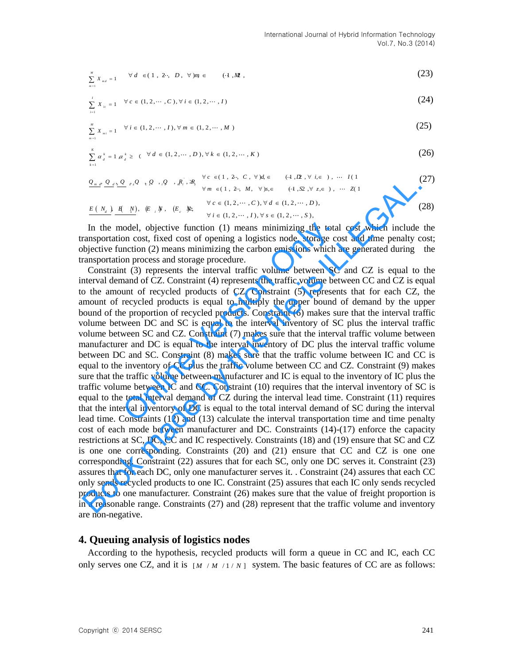$$
\sum_{m=1}^{M} X_{m,d} = 1 \qquad \forall d \in (1, 2 \cdot, D, \forall) m \in (1, M), \tag{23}
$$

$$
\sum_{i=1}^{j} X_{i} = 1 \quad \forall c \in (1, 2, \cdots, C), \forall i \in (1, 2, \cdots, I)
$$
\n(24)

$$
\sum_{m=1}^{M} X_{mi} = 1 \quad \forall i \in (1, 2, \cdots, I), \forall m \in (1, 2, \cdots, M)
$$
\n(25)

$$
\sum_{\alpha}^{k} \alpha_{d}^{k} = 1 \alpha_{d}^{k} \geq ( \forall d \in (1, 2, \cdots, D), \forall k \in (1, 2, \cdots, K)
$$
\n
$$
(26)
$$

$$
\underbrace{\mathcal{Q}_{m,d}, \mathcal{Q}}_{\mathcal{L}^{d}} \mathcal{Q}_{d^2} \mathcal{Q}_{d^2} \mathcal{Q}_{d^2} \mathcal{Q}_{d^2} \mathcal{Q}_{d^2} \mathcal{Q}_{d^2} \mathcal{Q}_{d^2} \mathcal{Q}_{d^2} \mathcal{Q}_{d^2} \mathcal{Q}_{d^2} \mathcal{Q}_{d^2} \mathcal{Q}_{d^2} \mathcal{Q}_{d^2} \mathcal{Q}_{d^2} \mathcal{Q}_{d^2} \mathcal{Q}_{d^2} \mathcal{Q}_{d^2} \mathcal{Q}_{d^2} \mathcal{Q}_{d^2} \mathcal{Q}_{d^2} \mathcal{Q}_{d^2} \mathcal{Q}_{d^2} \mathcal{Q}_{d^2} \mathcal{Q}_{d^2} \mathcal{Q}_{d^2} \mathcal{Q}_{d^2} \mathcal{Q}_{d^2} \mathcal{Q}_{d^2} \mathcal{Q}_{d^2} \mathcal{Q}_{d^2} \mathcal{Q}_{d^2} \mathcal{Q}_{d^2} \mathcal{Q}_{d^2} \mathcal{Q}_{d^2} \mathcal{Q}_{d^2} \mathcal{Q}_{d^2} \mathcal{Q}_{d^2} \mathcal{Q}_{d^2} \mathcal{Q}_{d^2} \mathcal{Q}_{d^2} \mathcal{Q}_{d^2} \mathcal{Q}_{d^2} \mathcal{Q}_{d^2} \mathcal{Q}_{d^2} \mathcal{Q}_{d^2} \mathcal{Q}_{d^2} \mathcal{Q}_{d^2} \mathcal{Q}_{d^2} \mathcal{Q}_{d^2} \mathcal{Q}_{d^2} \mathcal{Q}_{d^2} \mathcal{Q}_{d^2} \mathcal{Q}_{d^2} \mathcal{Q}_{d^2} \mathcal{Q}_{d^2} \mathcal{Q}_{d^2} \mathcal{Q}_{d^2} \mathcal{Q}_{d^2} \mathcal{Q}_{d^2} \mathcal{Q}_{d^2} \mathcal{Q}_{d^2} \mathcal{Q}_{d^2} \mathcal{Q}_{d^2} \mathcal{Q}_{d^2} \mathcal{Q}_{d^2} \mathcal{Q}_{d^2} \mathcal{Q}_{d^2} \mathcal{Q}_{d^2} \mathcal{Q}_{d^2} \mathcal{Q}_{d^2} \mathcal{Q}_{d^2} \mathcal{Q}_{d^2} \mathcal{Q}_{d^2} \math
$$

$$
\frac{E(N_d)}{N} \cdot \frac{H(N)}{N}, \quad (E_i, N), \quad (E_c, N), \quad \forall \, i \in (1, 2, \cdots, I), \forall \, s \in (1, 2, \cdots, S),
$$
\n
$$
(28)
$$

In the model, objective function (1) means minimizing the total cost which include the transportation cost, fixed cost of opening a logistics node, storage cost and time penalty cost; objective function (2) means minimizing the carbon emissions which are generated during the transportation process and storage procedure.

Constraint (3) represents the interval traffic volume between SC and CZ is equal to the interval demand of CZ. Constraint (4) represents the traffic volume between CC and CZ is equal to the amount of recycled products of CZ. Constraint (5) represents that for each CZ, the amount of recycled products is equal to multiply the upper bound of demand by the upper bound of the proportion of recycled products. Constraint (6) makes sure that the interval traffic volume between DC and SC is equal to the interval inventory of SC plus the interval traffic volume between SC and CZ. Constraint (7) makes sure that the interval traffic volume between manufacturer and DC is equal to the interval inventory of DC plus the interval traffic volume between DC and SC. Constraint (8) makes sure that the traffic volume between IC and CC is equal to the inventory of CC plus the traffic volume between CC and CZ. Constraint (9) makes sure that the traffic volume between manufacturer and IC is equal to the inventory of IC plus the traffic volume between IC and CC. Constraint (10) requires that the interval inventory of SC is equal to the total interval demand of CZ during the interval lead time. Constraint (11) requires that the interval inventory of DC is equal to the total interval demand of SC during the interval lead time. Constraints (12) and (13) calculate the interval transportation time and time penalty cost of each mode between manufacturer and DC. Constraints (14)-(17) enforce the capacity restrictions at SC, DC, CC and IC respectively. Constraints (18) and (19) ensure that SC and CZ is one one corresponding. Constraints (20) and (21) ensure that CC and CZ is one one corresponding. Constraint (22) assures that for each SC, only one DC serves it. Constraint (23) assures that for each DC, only one manufacturer serves it. . Constraint (24) assures that each CC only sends recycled products to one IC. Constraint (25) assures that each IC only sends recycled products to one manufacturer. Constraint (26) makes sure that the value of freight proportion is in a reasonable range. Constraints (27) and (28) represent that the traffic volume and inventory are non-negative. nodel, objective function (1) means minimizing the total<br>on cost, fixed cost of opening a logistics node, storage cc<br>nction (2) means minimizing the carbon emissions which a<br>on process and storage procedure.<br>It (3) represe  $Q_{xx}Q_{yy}Q_{yy}Q_{yy}Q_{yy}Q_{yy}R_{yy}$  is  $R_{yy} = (1, 2, M, \gamma)_{\text{Re}} = (1, 2, 2, 1, 0)$ . ( $\frac{N\epsilon}{2}$  is  $\frac{1}{N}$  is  $\frac{N\epsilon}{2}$  is  $\frac{1}{N}$  is  $\frac{1}{N}$  is  $\frac{1}{N}$  is  $\frac{1}{N}$  is  $\frac{1}{N}$ ,  $\frac{1}{N}$ ,  $\frac{1}{N}$ ,  $\frac{1}{N}$ ,  $\frac{1$ 

#### **4. Queuing analysis of logistics nodes**

 According to the hypothesis, recycled products will form a queue in CC and IC, each CC only serves one CZ, and it is  $[M / M / 1 / N]$  system. The basic features of CC are as follows:

1

 $=$ 

 $m=1$ 

 $k = 1$ 

*ic i*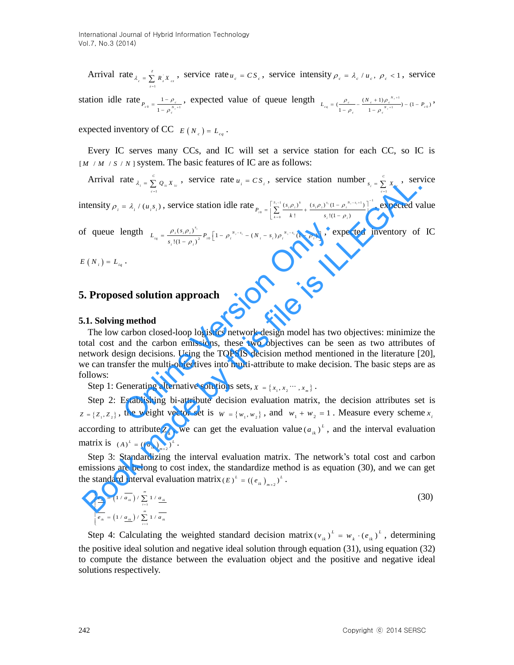Arrival rate  $\sum_{\lambda}^{z}$ 1  $\lambda_c = \sum_{r}^{z} R_c X_{cr}$ , service rate  $u_c = CS_c$ , service intensity  $\rho_c = \lambda_c / u_c$ ,  $\rho_c < 1$ , service *z*  $=$ 

station idle rate  $P_{e0} = \frac{1 - \rho_e}{1 - e^{N_e + 1}}$  $\frac{P_c}{c_0} = \frac{P_c}{1 - \rho_c^{N_c}}$  $P_{c0} = \frac{1 - \mu}{v}$  $= \frac{1 - \rho_c}{1 - \rho_c^{N_c + 1}}$ , expected value of queue length  $I = (P_c - (N_c + 1)\rho_c^{N_c+1})$  $\left(\frac{\rho_c}{1-\rho_c} - \frac{(N_c+1)\rho_c^{N_c+1}}{1-\rho_c^{N_c+1}}\right) - (1-P_{c0})$  $P_{eq} = \left(\frac{\rho_c}{1-\rho_c} - \frac{(N_c+1)\rho_c^{N_c+1}}{1-\rho_c^{N_c+1}}\right) - (1-P_c)$  $L_{eq} = \left(\frac{\rho_c}{l_{eq}} - \frac{(N_c + 1)\rho_c^{N_c+1}}{l_{eq} + N_c+1}\right) - (1 - P_c)$  $\frac{c}{\rho_c} = \frac{(N_c + 1)\rho_c^{N_c + 1}}{1 - \rho_c^{N_c + 1}}$  $=\big(\frac{\rho_{_{c}}}{1-\rho_{_{c}}}-\frac{(N_{_{c}}+1)\rho_{_{c}}^{^{^{^{^{\prime}}c+1}}}{1-\rho_{_{c}}^{^{^{^{^{\prime}}c+1}}}\big)-(1-P_{_{c0}})}\big)$ 

expected inventory of CC  $E(N_c) = L_{cq}$ .

 Every IC serves many CCs, and IC will set a service station for each CC, so IC is  $[M / M / S / N]$  system. The basic features of IC are as follows:

Arrival rate  $\lambda = \frac{c}{\Sigma}$ 1  $\lambda_i = \sum_{i=1}^{C} Q_{i} \, X_{i}$ , service rate  $u_i = CS_i$ , service station number  $S_i = \sum_{i=1}^{C} Q_{i}$ *c*  $=$ 1  $s_i = \sum_{i=1}^{c} X_{i}$ , service *c*  $\equiv$ 

intensity  $\rho_i = \lambda_i / (u_i s_i)$ , service station idle rate  $P_{n=1} = \sum_{i=1}^{s_i-1} \frac{(s_i \rho_i)^k}{s_i} + \frac{(s_i \rho_i)^{s_i} (1 - \rho_i^{N_i - s_i + 1})}{s_i}$  $\begin{array}{c} \circ \\ k=0 \end{array}$  $\frac{(s_i \rho_i)^k}{(s_i \rho_i)^{s_i}}$  (1 -  $\rho_i^{N_i-s_i+1}$ )  $\frac{y_i}{1}$  +  $\frac{(s_i \mu_i)^2 (1 - \mu_i)}{s_i!(1 - \mu_i)}$ *i*<sub>0</sub>  $=$   $\left[\sum_{k=0}^{s_i-1} \frac{(s_i \rho_i)^k}{k!} + \frac{(s_i \rho_i)^{s_i} (1 - \rho_i^{N_i-s_i})}{s_i!(1 - \rho_i)}\right]$  $P_{i0} = \left[ \sum_{k=0}^{S_i-1} \frac{(s_i \rho_i)^k}{k!} + \frac{(s_i \rho_i)^k}{s} \right]$  $\rho_i^{\lambda}$   $(s_i \rho_i)^{s_i} (1 - \rho_i^{N_i - s})$  $\mu$  $^{-1}$  (s. 0)<sup>k</sup> (s. 0)<sup>s<sub>i</sub></sup> (l = 0<sup>N<sub>i</sub>-s<sub>i</sub>+1)</sub>]<sup>-</sup></sup>  $=$  $=\left[\sum_{k=0}^{s_i-1}\frac{(s_i \rho_i)^k}{k!}+\frac{(s_i \rho_i)^{s_i}(1-\rho_i^{s_i-s_i+1})}{s_i!(1-\rho_i)}\right]^{-1}$ , expected value

of queue length  $L_{i_q} = \frac{\rho_i (s_i \rho_i)^{s_i}}{s_i! (1 - \rho_i)^2} P_{i_0} \left[ 1 - \rho_i^{N_i - s_i} - (N_i - s_i) \rho_i^{N_i - s_i} (1 - \rho_i) \right]$ *s*  $L_{iq} = \frac{\rho_i (s_i \rho_i)^{s_i}}{s_i! (1 - \rho_i)^2} P_{i0} \left[ 1 - \rho_i^{N_i - s_i} - (N_i - s_i) \right]$  $\frac{\rho_i(s_i \rho_i)^{s_i}}{\left| \frac{\rho_i(s_i \rho_i)^{s_i}}{\left| 1 - \rho_i \right|^2} P_{i0} \left[ 1 - \rho_i^{N_i - s_i} - (N_i - s_i) \rho_i^{N_i - s_i} (1 - \rho_i) \right] \right|},$ 

 $E(N_i) = L_{ia}$ .

#### **5. Proposed solution approach**

#### **5.1. Solving method**

ength  $L_{u_i} = \frac{\rho_i(s,\rho_i)^s}{s_i!(1-\rho_i)^2} P_{\alpha} \left[1-\rho_i^{s_{i-1}} - (N_i - s_i)\rho_i^{s_{i-1}}(1-\rho_i)\right]$ , expected inventory of IC<br>
...<br> **ed solution approach**<br> **ed solution approach**<br> **ed solution approach**<br> **ed solution approach**<br> **ed solution**  The low carbon closed-loop logistics network design model has two objectives: minimize the total cost and the carbon emissions, these two objectives can be seen as two attributes of network design decisions. Using the TOPSIS decision method mentioned in the literature [20], we can transfer the multi-objectives into multi-attribute to make decision. The basic steps are as follows: Arrival rate  $\lambda_i = \sum_{i=1}^{\infty} \alpha_i x_i$ , service rate  $u_i = CS_i$ , service station intimoter,  $\sum_{i=1}^{\infty} x_i$ , service station idle rate  $n_{in} = \left[\frac{y_{out}(x_i, y_i)}{\sum_{i=1}^{\infty} y_i} + \frac{(y_{out}(y_i, y_i))}{y_{in}(y_i, y_i)}\right]$ , expected viewthensity

Step 1: Generating alternative solutions sets,  $X = \{x_1, x_2, \dots, x_m\}$ .

Step 2: Establishing bi-attribute decision evaluation matrix, the decision attributes set is  $Z = \{Z_1, Z_2\}$ , the weight vector set is  $W = \{w_1, w_2\}$ , and  $W_1 + W_2 = 1$ . Measure every scheme  $x_i$ according to attribute  $Z_k$ , we can get the evaluation value  $(a_{ik})^L$ , and the interval evaluation matrix is  $(A)^{L} = ((a_{ik})_{m \times 2})^{L}$ .

Step 3: Standardizing the interval evaluation matrix. The network's total cost and carbon emissions are belong to cost index, the standardize method is as equation (30), and we can get the standard interval evaluation matrix  $(E)^{L} = ((e_{ik})_{m \times 2})^{L}$ .

$$
\begin{cases}\n\frac{e_{ik}}{a_{ik}} = \left(1 / \overline{a_{ik}}\right) / \sum_{i=1}^{m} 1 / \underline{a_{ik}} \\
\frac{e_{ik}}{e_{ik}} = \left(1 / \underline{a_{ik}}\right) / \sum_{i=1}^{m} 1 / \overline{a_{ik}}\n\end{cases}
$$
\n(30)

Step 4: Calculating the weighted standard decision matrix  $(v_{ik})^L = w_k \cdot (e_{ik})^L$ , determining the positive ideal solution and negative ideal solution through equation (31), using equation (32) to compute the distance between the evaluation object and the positive and negative ideal solutions respectively.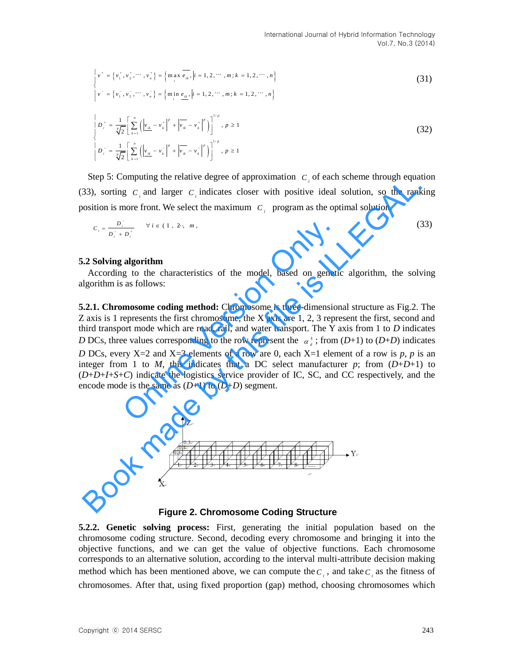$$
\begin{cases}\nv^+ = \{v_1^+, v_2^+, \cdots, v_n^+\} = \{ \max_i \overline{e_i}, |i = 1, 2, \cdots, m; k = 1, 2, \cdots, n \} \\
v^- = \{v_1^-, v_2^-, \cdots, v_n^-\} = \{ \min_i \overline{e_i}, |i = 1, 2, \cdots, m; k = 1, 2, \cdots, n \}\n\end{cases}
$$
\n(31)

$$
\begin{cases}\nD_i^+ = \frac{1}{\sqrt[n]{2}} \left[ \sum_{k=1}^n \left( \left| v_{ik} - v_k^+ \right|^p + \left| v_{ik} - v_k^+ \right|^p \right) \right]^{1/p}, \ p \ge 1 \\
D_i^- = \frac{1}{\sqrt[n]{2}} \left[ \sum_{k=1}^n \left( \left| v_{ik} - v_k^- \right|^p + \left| v_{ik} - v_k^- \right|^p \right) \right]^{1/p}, \ p \ge 1\n\end{cases} \tag{32}
$$

Step 5: Computing the relative degree of approximation  $C_i$  of each scheme through equation (33), sorting  $C_i$  and larger  $C_i$  indicates closer with positive ideal solution, so the ranking position is more front. We select the maximum  $C_i$  program as the optimal solution.

$$
C_i = \frac{D_i^-}{D_i^- + D_i^+} \qquad \forall \, i \in (1, 2 \cdot, m), \tag{33}
$$

#### **5.2 Solving algorithm**

According to the characteristics of the model, based on genetic algorithm, the solving algorithm is as follows:

**5.2.1. Chromosome coding method:** Chromosome is three-dimensional structure as Fig.2. The Z axis is 1 represents the first chromosome, the X axis are 1, 2, 3 represent the first, second and third transport mode which are road, rail, and water transport. The Y axis from 1 to *D* indicates *D* DCs, three values corresponding to the row represent the  $\alpha_d^*$ ; from (*D*+1) to (*D*+*D*) indicates *D* DCs, every X=2 and X=3 elements of a row are 0, each X=1 element of a row is *p*, *p* is an integer from 1 to *M*, this indicates that a DC select manufacturer *p*; from  $(D+D+1)$  to (*D*+*D*+*I*+*S*+*C*) indicate the logistics service provider of IC, SC, and CC respectively, and the encode mode is the same as  $(D+1)$  to  $(D+D)$  segment. Moreover,  $D_i$  with  $D_i$  with the model, based on genetical as follows:<br> **Algorithm**<br> **Conception Only and Solution Only and Solution Only and Solution Only and Solution Only and Solution Only 2013 are proof mode which ar** stay. Completing the Plattiac teacher of the complete complete that a DC select matter and the state and the state of the model, by the select the maximum  $C_i$  program as the optimal solution, so the rankostion is more fr



**Figure 2. Chromosome Coding Structure**

**5.2.2. Genetic solving process:** First, generating the initial population based on the chromosome coding structure. Second, decoding every chromosome and bringing it into the objective functions, and we can get the value of objective functions. Each chromosome corresponds to an alternative solution, according to the interval multi-attribute decision making method which has been mentioned above, we can compute the  $C_i$ , and take  $C_i$  as the fitness of chromosomes. After that, using fixed proportion (gap) method, choosing chromosomes which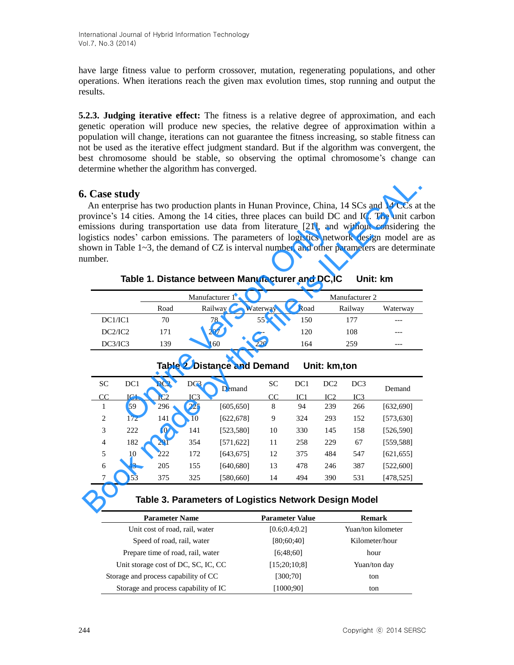have large fitness value to perform crossover, mutation, regenerating populations, and other operations. When iterations reach the given max evolution times, stop running and output the results.

**5.2.3. Judging iterative effect:** The fitness is a relative degree of approximation, and each genetic operation will produce new species, the relative degree of approximation within a population will change, iterations can not guarantee the fitness increasing, so stable fitness can not be used as the iterative effect judgment standard. But if the algorithm was convergent, the best chromosome should be stable, so observing the optimal chromosome's change can determine whether the algorithm has converged.

# **6. Case study**

An enterprise has two production plants in Hunan Province, China, 14 SCs and 14 CCs at the province's 14 cities. Among the 14 cities, three places can build DC and IC. The unit carbon emissions during transportation use data from literature [21], and without considering the logistics nodes' carbon emissions. The parameters of logistics network design model are as shown in Table  $1 \sim 3$ , the demand of CZ is interval number, and other parameters are determinate number.

| mber.          |                 |                 |     |                                                  |          |                 |                 |                 | issions during transportation use data from literature [21], and without considering t<br>gistics nodes' carbon emissions. The parameters of logistics network design model are<br>own in Table $1\sim3$ , the demand of CZ is interval number, and other parameters are determina |
|----------------|-----------------|-----------------|-----|--------------------------------------------------|----------|-----------------|-----------------|-----------------|------------------------------------------------------------------------------------------------------------------------------------------------------------------------------------------------------------------------------------------------------------------------------------|
|                |                 |                 |     | Table 1. Distance between Manufacturer and DC,IC |          |                 |                 |                 | Unit: km                                                                                                                                                                                                                                                                           |
|                |                 |                 |     | Manufacturer 1                                   |          |                 |                 | Manufacturer 2  |                                                                                                                                                                                                                                                                                    |
|                |                 | Road            |     | Railway                                          | Waterway | Road            |                 | Railway         | Waterway                                                                                                                                                                                                                                                                           |
| DC1/IC1        |                 | 70              |     | 78                                               | 55       | 150             |                 | 177             |                                                                                                                                                                                                                                                                                    |
| DC2/IC2        |                 | 171             |     | 207                                              |          | 120             |                 | 108             |                                                                                                                                                                                                                                                                                    |
| DC3/IC3        |                 | 139             |     | 160                                              | 220      | 164             |                 | 259             |                                                                                                                                                                                                                                                                                    |
|                |                 |                 |     | <b>Table 2. Distance and Demand</b>              |          |                 | Unit: km,ton    |                 |                                                                                                                                                                                                                                                                                    |
| <b>SC</b>      | DC <sub>1</sub> | DC <sub>2</sub> | DC3 | Demand                                           | SС       | DC1             | DC <sub>2</sub> | DC <sub>3</sub> | Demand                                                                                                                                                                                                                                                                             |
| $\overline{C}$ | IC1             | IC2             | IC3 |                                                  | CC       | IC <sub>1</sub> | IC2             | IC <sub>3</sub> |                                                                                                                                                                                                                                                                                    |
| 1              | 59              | 296             | 225 | [605, 650]                                       | 8        | 94              | 239             | 266             | [632, 690]                                                                                                                                                                                                                                                                         |
| 2              | 172             | 141             | 10  | [622, 678]                                       | 9        | 324             | 293             | 152             | [573,630]                                                                                                                                                                                                                                                                          |

**Table 1. Distance between Manufacturer and DC,IC Unit: km**

| . Case study<br>umber. |                 |                 |                 |                |                                                  |      |                 |                 | An enterprise has two production plants in Hunan Province, China, 14 SCs and 14 CCs at<br>province's 14 cities. Among the 14 cities, three places can build DC and IC. The unit car<br>missions during transportation use data from literature [21], and without considering<br>ogistics nodes' carbon emissions. The parameters of logistics network design model are<br>hown in Table 1~3, the demand of CZ is interval number, and other parameters are determin |
|------------------------|-----------------|-----------------|-----------------|----------------|--------------------------------------------------|------|-----------------|-----------------|---------------------------------------------------------------------------------------------------------------------------------------------------------------------------------------------------------------------------------------------------------------------------------------------------------------------------------------------------------------------------------------------------------------------------------------------------------------------|
|                        |                 |                 |                 |                | Table 1. Distance between Manufacturer and DC,IC |      |                 |                 | Unit: km                                                                                                                                                                                                                                                                                                                                                                                                                                                            |
|                        |                 |                 |                 | Manufacturer 1 |                                                  |      |                 | Manufacturer 2  |                                                                                                                                                                                                                                                                                                                                                                                                                                                                     |
|                        |                 | Road            |                 | Railway        | Waterway                                         | Road |                 | Railway         | Waterway                                                                                                                                                                                                                                                                                                                                                                                                                                                            |
| DC1/IC1                |                 | 70              |                 | 78             | 55                                               | 150  |                 | 177             |                                                                                                                                                                                                                                                                                                                                                                                                                                                                     |
| DC2/IC2                |                 | 171             |                 | 207            |                                                  | 120  |                 | 108             |                                                                                                                                                                                                                                                                                                                                                                                                                                                                     |
| DC3/IC3                |                 | 139             |                 | 160            | 220                                              | 164  |                 | 259             |                                                                                                                                                                                                                                                                                                                                                                                                                                                                     |
|                        |                 |                 |                 |                | <b>Table 2. Distance and Demand</b>              |      | Unit: km,ton    |                 |                                                                                                                                                                                                                                                                                                                                                                                                                                                                     |
| <b>SC</b>              | DC1             | DC <sub>2</sub> | DC <sub>3</sub> | Demand         | SC                                               | DC1  | DC <sub>2</sub> | DC <sub>3</sub> | Demand                                                                                                                                                                                                                                                                                                                                                                                                                                                              |
| CC                     | IC <sub>1</sub> | IC2             | IC3             |                | CC                                               | IC1  | IC <sub>2</sub> | IC3             |                                                                                                                                                                                                                                                                                                                                                                                                                                                                     |
| $\mathbf{1}$           | 59              | 296             | 225             | [605, 650]     | 8                                                | 94   | 239             | 266             | [632, 690]                                                                                                                                                                                                                                                                                                                                                                                                                                                          |
| 2                      | 172             | 141             | 10              | [622, 678]     | 9                                                | 324  | 293             | 152             | [573, 630]                                                                                                                                                                                                                                                                                                                                                                                                                                                          |
| 3                      | 222             | 10              | 141             | [523,580]      | 10                                               | 330  | 145             | 158             | [526, 590]                                                                                                                                                                                                                                                                                                                                                                                                                                                          |
| $\overline{4}$         | 182             | 291             | 354             | [571, 622]     | 11                                               | 258  | 229             | 67              | [559, 588]                                                                                                                                                                                                                                                                                                                                                                                                                                                          |
| 5                      | 10              | 222             | 172             | [643, 675]     | 12                                               | 375  | 484             | 547             | [621, 655]                                                                                                                                                                                                                                                                                                                                                                                                                                                          |
| 6                      | 43              | 205             | 155             | [640, 680]     | 13                                               | 478  | 246             | 387             | [522,600]                                                                                                                                                                                                                                                                                                                                                                                                                                                           |
| 7                      | 153             | 375             | 325             | [580, 660]     | 14                                               | 494  | 390             | 531             | [478, 525]                                                                                                                                                                                                                                                                                                                                                                                                                                                          |

# **Table 2. Distance and Demand Unit: km,ton**

# **Table 3. Parameters of Logistics Network Design Model**

| <b>Parameter Name</b>                | <b>Parameter Value</b> | <b>Remark</b>      |
|--------------------------------------|------------------------|--------------------|
| Unit cost of road, rail, water       | [0.6; 0.4; 0.2]        | Yuan/ton kilometer |
| Speed of road, rail, water           | [80;60;40]             | Kilometer/hour     |
| Prepare time of road, rail, water    | [6:48:60]              | hour               |
| Unit storage cost of DC, SC, IC, CC  | [15;20;10;8]           | Yuan/ton day       |
| Storage and process capability of CC | [300;70]               | ton                |
| Storage and process capability of IC | [1000;90]              | ton                |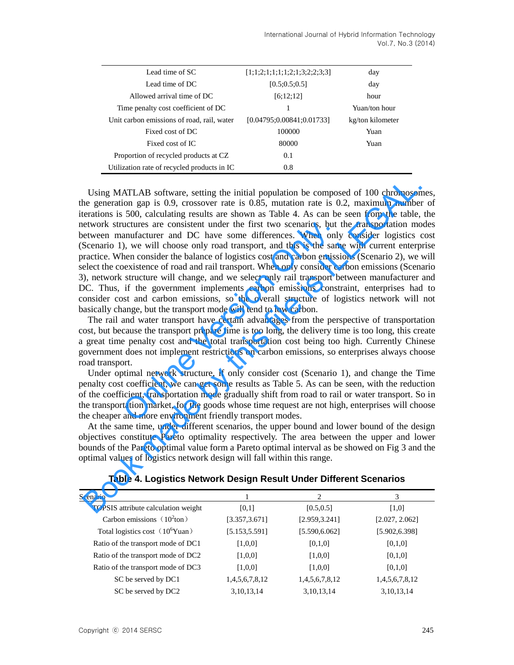| Lead time of SC                             | [1;1;2;1;1;1;1;2;1;3;2;2;3;3] | day              |
|---------------------------------------------|-------------------------------|------------------|
| Lead time of DC                             | [0.5; 0.5; 0.5]               | day              |
| Allowed arrival time of DC                  | [6;12;12]                     | hour             |
| Time penalty cost coefficient of DC         |                               | Yuan/ton hour    |
| Unit carbon emissions of road, rail, water  | [0.04795; 0.00841; 0.01733]   | kg/ton kilometer |
| Fixed cost of DC                            | 100000                        | Yuan             |
| Fixed cost of IC                            | 80000                         | Yuan             |
| Proportion of recycled products at CZ       | 0.1                           |                  |
| Utilization rate of recycled products in IC | 0.8                           |                  |

Using MATLAB software, setting the initial population be composed of 100 chromosomes, the generation gap is 0.9, crossover rate is 0.85, mutation rate is 0.2, maximum number of iterations is 500, calculating results are shown as Table 4. As can be seen from the table, the network structures are consistent under the first two scenarios, but the transportation modes between manufacturer and DC have some differences. When only consider logistics cost (Scenario 1), we will choose only road transport, and this is the same with current enterprise practice. When consider the balance of logistics cost and carbon emissions (Scenario 2), we will select the coexistence of road and rail transport. When only consider carbon emissions (Scenario 3), network structure will change, and we select only rail transport between manufacturer and DC. Thus, if the government implements carbon emissions constraint, enterprises had to consider cost and carbon emissions, so the overall structure of logistics network will not basically change, but the transport mode will tend to low carbon. uctures are consistent under the first two scenarios, but<br>anufacturer and DC have some differences. When only,<br>), we will choose only road transport, and this is the sam<br>hen consider the balance of logistics cost and carbo Using MATLAB software, setting the initial population be composed of 100 chromoson<br>e generation gap is 0.9, crossover rate is 0.85, mutation rate is 0.2, maximum numbele<br>retations is 500, calculating results are shown as

The rail and water transport have certain advantages from the perspective of transportation cost, but because the transport prepare time is too long, the delivery time is too long, this create a great time penalty cost and the total transportation cost being too high. Currently Chinese government does not implement restrictions on carbon emissions, so enterprises always choose road transport.

Under optimal network structure, if only consider cost (Scenario 1), and change the Time penalty cost coefficient, we can get some results as Table 5. As can be seen, with the reduction of the coefficient, transportation mode gradually shift from road to rail or water transport. So in the transportation market, for the goods whose time request are not high, enterprises will choose the cheaper and more environment friendly transport modes.

At the same time, under different scenarios, the upper bound and lower bound of the design objectives constitute Pareto optimality respectively. The area between the upper and lower bounds of the Pareto optimal value form a Pareto optimal interval as be showed on Fig 3 and the optimal values of logistics network design will fall within this range.

| Scenario                            |                | 2              | 3              |
|-------------------------------------|----------------|----------------|----------------|
| TOPSIS attribute calculation weight | [0,1]          | [0.5, 0.5]     | [1,0]          |
| Carbon emissions $(10^2$ ton)       | [3.357, 3.671] | [2.959, 3.241] | [2.027, 2.062] |
| Total logistics cost $(10^6$ Yuan)  | [5.153, 5.591] | [5.590, 6.062] | [5.902, 6.398] |
| Ratio of the transport mode of DC1  | [1,0,0]        | [0,1,0]        | [0,1,0]        |
| Ratio of the transport mode of DC2  | [1,0,0]        | [1,0,0]        | [0,1,0]        |
| Ratio of the transport mode of DC3  | [1,0,0]        | [1,0,0]        | [0,1,0]        |
| SC be served by DC1                 | 1,4,5,6,7,8,12 | 1,4,5,6,7,8,12 | 1,4,5,6,7,8,12 |
| SC be served by DC2                 | 3, 10, 13, 14  | 3, 10, 13, 14  | 3, 10, 13, 14  |

#### **Table 4. Logistics Network Design Result Under Different Scenarios**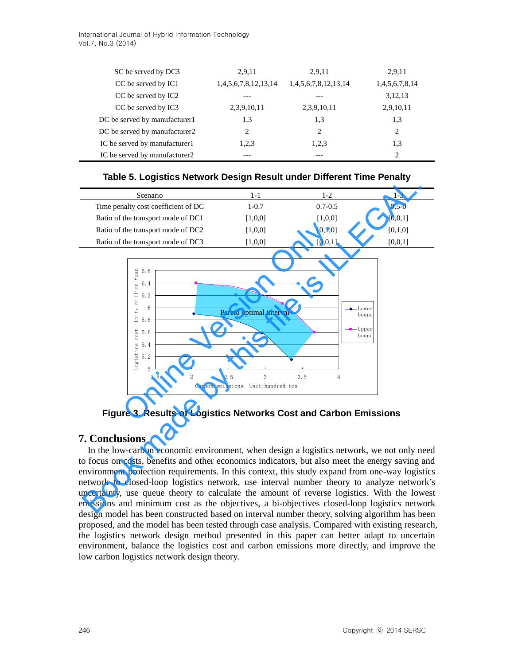| SC be served by DC3           | 2,9,11               | 2,9,11               | 2,9,11         |
|-------------------------------|----------------------|----------------------|----------------|
| CC be served by IC1           | 1,4,5,6,7,8,12,13,14 | 1,4,5,6,7,8,12,13,14 | 1,4,5,6,7,8,14 |
| CC be served by IC2           |                      |                      | 3,12,13        |
| CC be served by IC3           | 2,3,9,10,11          | 2,3,9,10,11          | 2,9,10,11      |
| DC be served by manufacturer1 | 1,3                  | 1,3                  | 1,3            |
| DC be served by manufacturer2 | 2                    | 2                    | $\overline{c}$ |
| IC be served by manufacturer1 | 1,2,3                | 1,2,3                | 1,3            |
| IC be served by manufacturer2 |                      |                      | $\mathfrak{D}$ |

| Table 5. Logistics Network Design Result under Different Time Penalty |  |  |  |
|-----------------------------------------------------------------------|--|--|--|
|                                                                       |  |  |  |

| Scenario                            | 1-1       | 1-2         | 1-3       |
|-------------------------------------|-----------|-------------|-----------|
| Time penalty cost coefficient of DC | $1 - 0.7$ | $0.7 - 0.5$ | $0.5 - 0$ |
| Ratio of the transport mode of DC1  | [1,0,0]   | [1,0,0]     | [0,0,1]   |
| Ratio of the transport mode of DC2  | [1,0,0]   | [0,1,0]     | [0,1,0]   |
| Ratio of the transport mode of DC3  | [1,0,0]   | [0,0,1]     | [0,0,1]   |



# **Figure 3. Results of Logistics Networks Cost and Carbon Emissions**

# **7. Conclusions**

In the low-carbon economic environment, when design a logistics network, we not only need to focus on costs, benefits and other economics indicators, but also meet the energy saving and environment protection requirements. In this context, this study expand from one-way logistics network to closed-loop logistics network, use interval number theory to analyze network's uncertainty, use queue theory to calculate the amount of reverse logistics. With the lowest emissions and minimum cost as the objectives, a bi-objectives closed-loop logistics network design model has been constructed based on interval number theory, solving algorithm has been proposed, and the model has been tested through case analysis. Compared with existing research, the logistics network design method presented in this paper can better adapt to uncertain environment, balance the logistics cost and carbon emissions more directly, and improve the low carbon logistics network design theory.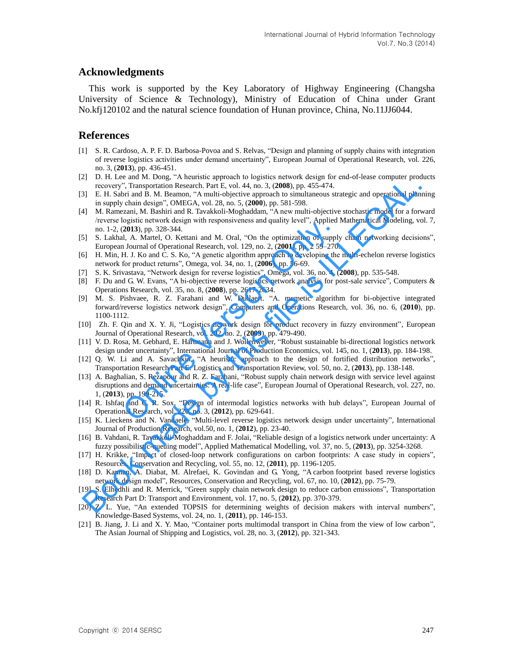### **Acknowledgments**

This work is supported by the Key Laboratory of Highway Engineering (Changsha University of Science & Technology), Ministry of Education of China under Grant No.kfj120102 and the natural science foundation of Hunan province, China, No.11JJ6044.

### **References**

- [1] S. R. Cardoso, A. P. F. D. Barbosa-Povoa and S. Relvas, "Design and planning of supply chains with integration of reverse logistics activities under demand uncertainty", European Journal of Operational Research, vol. 226, no. 3, (**2013**), pp. 436-451.
- [2] D. H. Lee and M. Dong, "A heuristic approach to logistics network design for end-of-lease computer products recovery", Transportation Research. Part E, vol. 44, no. 3, (**2008**), pp. 455-474.
- [3] E. H. Sabri and B. M. Beamon, "A multi-objective approach to simultaneous strategic and operational planning in supply chain design", OMEGA, vol. 28, no. 5, (**2000**), pp. 581-598.
- [4] M. Ramezani, M. Bashiri and R. Tavakkoli-Moghaddam, "A new multi-objective stochastic model for a forward /reverse logistic network design with responsiveness and quality level", Applied Mathematical Modeling, vol. 7, no. 1-2, (**2013**), pp. 328-344. The recovery. Transpor[t](http://www.sciencedirect.com/science/article/pii/S0377221712009484)ation Research 17a II, vol. 44, no. 3. (2008), p. 455-474.<br>
31 E. H. Suhri and B. M. Beamon, "A multi-origicive approach to simulate it ultraportion and the significant particles in a supply channel
- [5] S. Lakhal, A. Martel, O. Kettani and M. Oral, "On the optimization of supply chain networking decisions", European Journal of Operational Research, vol. 129, no. 2, (**2001**), pp. 2 59–270.
- [6] H. Min, H. J. Ko and C. S. Ko, "A genetic algorithm approach to developing the multi-echelon reverse logistics network for product returns", Omega, vol. 34, no. 1, (**2006**), pp. 56-69.
- [7] S. K. Srivastava, "Network design for reverse logistics", Omega, vol. 36, no. 4, (**2008**), pp. 535-548.
- [8] F. Du and G. W. Evans, "A bi-objective reverse logistics network analysis for post-sale service", Computers & Operations Research, vol. 35, no. 8, (**2008**), pp. 2617-2634.
- [9] M. S. Pishvaee, R. Z. Farahani and W. Dullaert. "A. memetic algorithm for bi-objective integrated forward/reverse logistics network design", Computers and Operations Research, vol. 36, no. 6, (**2010**), pp. 1100-1112.
- [10] Zh. F. Qin and X. Y. Ji, "Logistics network design for product recovery in fuzzy environment", European Journal of Operational Research, vol. 202, no. 2, (**2009**), pp. 479-490.
- [11] V. D. Rosa, M. Gebhard, E. Hartmann and J. Wollenweber, "Robust sustainable bi-directional logistics network design under uncertainty", International Journal of Production Economics, vol. 145, no. 1, (**2013**), pp. 184-198.
- [12] Q. W. Li and A. Savachkin, "A heuristic approach to the design of fortified distribution networks", Transportation Research Part E: Logistics and Transportation Review, vol. 50, no. 2, (**2013**), pp. 138-148.
- [13] A. Baghalian, S. Rezapour and R. Z. Farahani, "Robust supply chain network design with service level against disruptions and demand uncertainties: A real-life case", European Journal of Operational Research, vol. 227, no. 1, (**2013**), pp. 199-215. Example The Matter and M. Oral, "Only the primarized proce controls and planny force controls and A. A. Martel, O. Kettani and M. Oral, "On the optimization of supply Journal of Operational Research, vol. 129, no. 2, (200
- [14] R. Ishfaq and C. R. Sox, "Design of intermodal logistics networks with hub delays", European Journal of Operational Research, vol. 220, no. 3, (**2012**), pp. 629-641.
- [15] K. Lieckens and N. Vandaele, "Multi-level reverse logistics network design under uncertainty", International Journal of Production Research, vol.50, no. 1, (**2012**), pp. 23-40.
- [16] B. Vahdani, R. Tavakkoli-Moghaddam and F. Jolai, "Reliable design of a logistics network under uncertainty: A fuzzy possibilistic-queuing model", Applied Mathematical Modelling, vol. 37, no. 5, (**2013**), pp. 3254-3268.
- [17] H. Krikke, "Impact of closed-loop network configurations on carbon footprints: A case study in copiers", Resources, Conservation and Recycling, vol. 55, no. 12, (**2011**), pp. 1196-1205.
- [18] D. Kannan, A. Diabat, M. Alrefaei, K. Govindan and G. Yong, "A carbon footprint based reverse logistics network design model", Resources, Conservation and Recycling, vol. 67, no. 10, (**2012**), pp. 75-79.
- [19] S. Elhedhli and R. Merrick, "Green supply chain network design to reduce carbon emissions", Transportation Research Part D: Transport and Environment, vol. 17, no. 5, (**2012**), pp. 370-379.
- [20] Z. L. Yue, "An extended TOPSIS for determining weights of decision makers with interval numbers", Knowledge-Based Systems, vol. 24, no. 1, (**2011**), pp. 146-153.
- [21] B. Jiang, J. Li and X. Y. Mao, "Container ports multimodal transport in China from the view of low carbon", The Asian Journal of Shipping and Logistics, vol. 28, no. 3, (**2012**), pp. 321-343.